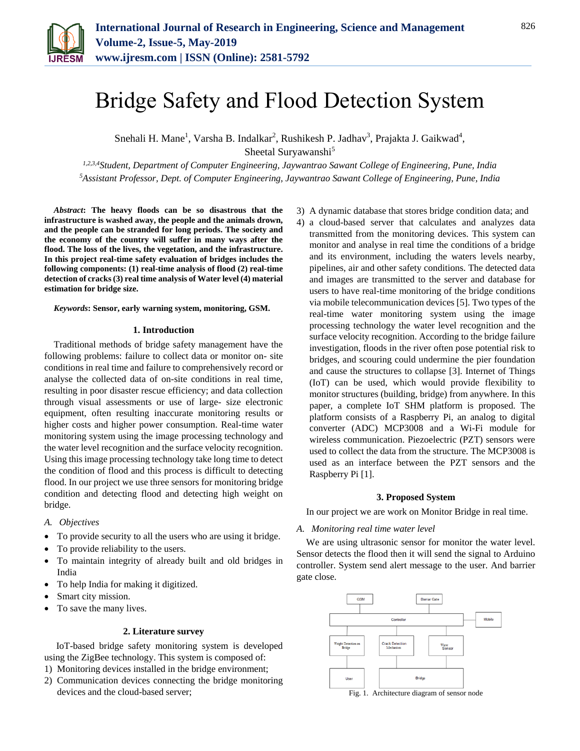

# Bridge Safety and Flood Detection System

Snehali H. Mane<sup>1</sup>, Varsha B. Indalkar<sup>2</sup>, Rushikesh P. Jadhav<sup>3</sup>, Prajakta J. Gaikwad<sup>4</sup>, Sheetal Suryawanshi<sup>5</sup>

*1,2,3,4Student, Department of Computer Engineering, Jaywantrao Sawant College of Engineering, Pune, India <sup>5</sup>Assistant Professor, Dept. of Computer Engineering, Jaywantrao Sawant College of Engineering, Pune, India*

*Abstract***: The heavy floods can be so disastrous that the infrastructure is washed away, the people and the animals drown, and the people can be stranded for long periods. The society and the economy of the country will suffer in many ways after the flood. The loss of the lives, the vegetation, and the infrastructure. In this project real-time safety evaluation of bridges includes the following components: (1) real-time analysis of flood (2) real-time detection of cracks (3) real time analysis of Water level (4) material estimation for bridge size.**

*Keywords***: Sensor, early warning system, monitoring, GSM.**

#### **1. Introduction**

Traditional methods of bridge safety management have the following problems: failure to collect data or monitor on- site conditions in real time and failure to comprehensively record or analyse the collected data of on-site conditions in real time, resulting in poor disaster rescue efficiency; and data collection through visual assessments or use of large- size electronic equipment, often resulting inaccurate monitoring results or higher costs and higher power consumption. Real-time water monitoring system using the image processing technology and the water level recognition and the surface velocity recognition. Using this image processing technology take long time to detect the condition of flood and this process is difficult to detecting flood. In our project we use three sensors for monitoring bridge condition and detecting flood and detecting high weight on bridge.

- *A. Objectives*
- To provide security to all the users who are using it bridge.
- To provide reliability to the users.
- To maintain integrity of already built and old bridges in India
- To help India for making it digitized.
- Smart city mission.
- To save the many lives.

### **2. Literature survey**

IoT-based bridge safety monitoring system is developed using the ZigBee technology. This system is composed of:

- 1) Monitoring devices installed in the bridge environment;
- 2) Communication devices connecting the bridge monitoring devices and the cloud-based server;
- 3) A dynamic database that stores bridge condition data; and
- 4) a cloud-based server that calculates and analyzes data transmitted from the monitoring devices. This system can monitor and analyse in real time the conditions of a bridge and its environment, including the waters levels nearby, pipelines, air and other safety conditions. The detected data and images are transmitted to the server and database for users to have real-time monitoring of the bridge conditions via mobile telecommunication devices [5]. Two types of the real-time water monitoring system using the image processing technology the water level recognition and the surface velocity recognition. According to the bridge failure investigation, floods in the river often pose potential risk to bridges, and scouring could undermine the pier foundation and cause the structures to collapse [3]. Internet of Things (IoT) can be used, which would provide flexibility to monitor structures (building, bridge) from anywhere. In this paper, a complete IoT SHM platform is proposed. The platform consists of a Raspberry Pi, an analog to digital converter (ADC) MCP3008 and a Wi-Fi module for wireless communication. Piezoelectric (PZT) sensors were used to collect the data from the structure. The MCP3008 is used as an interface between the PZT sensors and the Raspberry Pi [1].

#### **3. Proposed System**

In our project we are work on Monitor Bridge in real time.

*A. Monitoring real time water level*

We are using ultrasonic sensor for monitor the water level. Sensor detects the flood then it will send the signal to Arduino controller. System send alert message to the user. And barrier gate close.



Fig. 1. Architecture diagram of sensor node